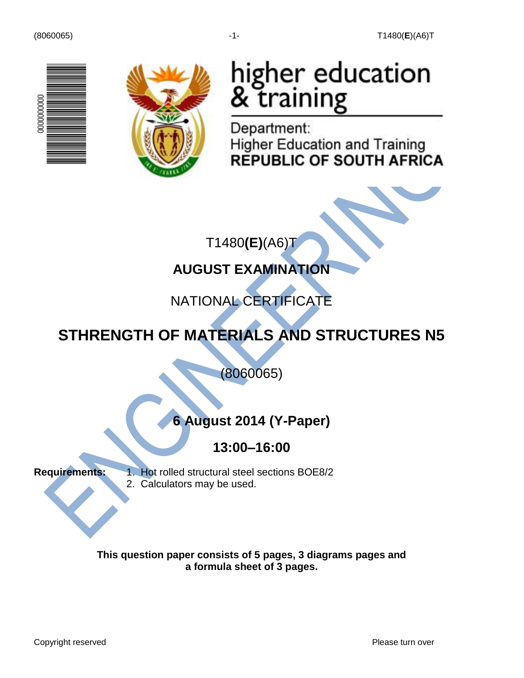



# higher education<br>& training

Department: **Higher Education and Training REPUBLIC OF SOUTH AFRICA** 

T1480**(E)**(A6)T

# **AUGUST EXAMINATION**

# NATIONAL CERTIFICATE

# **STHRENGTH OF MATERIALS AND STRUCTURES N5**

(8060065)

# **6 August 2014 (Y-Paper)**

### **13:00–16:00**

**Requirements:** 1. Hot rolled structural steel sections BOE8/2 2. Calculators may be used.

> **This question paper consists of 5 pages, 3 diagrams pages and a formula sheet of 3 pages.**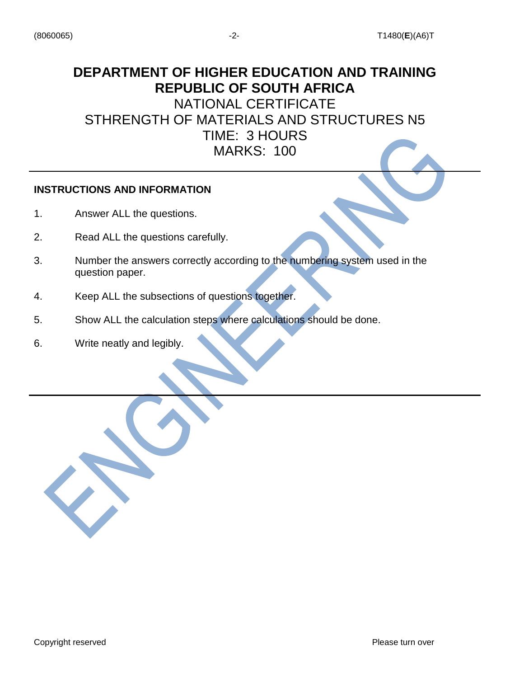# **DEPARTMENT OF HIGHER EDUCATION AND TRAINING REPUBLIC OF SOUTH AFRICA** NATIONAL CERTIFICATE

STHRENGTH OF MATERIALS AND STRUCTURES N5 TIME: 3 HOURS MARKS: 100

#### **INSTRUCTIONS AND INFORMATION**

- 1. Answer ALL the questions.
- 2. Read ALL the questions carefully.
- 3. Number the answers correctly according to the numbering system used in the question paper.
- 4. Keep ALL the subsections of questions together.
- 5. Show ALL the calculation steps where calculations should be done.
- 6. Write neatly and legibly.

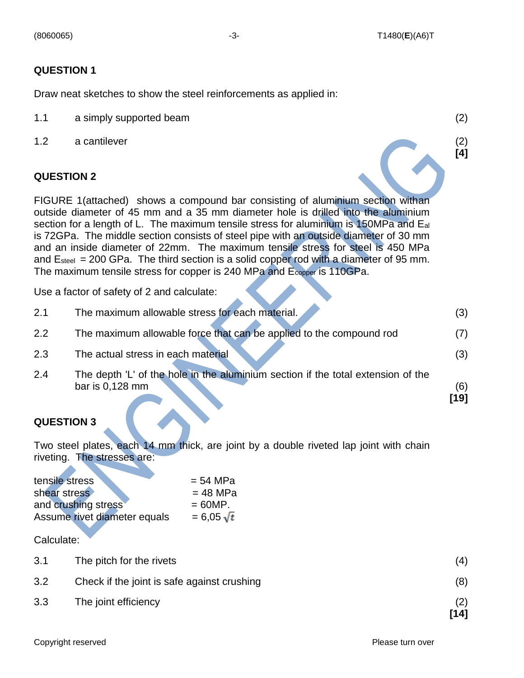**[4]**

#### **QUESTION 1**

Draw neat sketches to show the steel reinforcements as applied in:

- 1.1 a simply supported beam (2)
- 1.2 a cantilever (2)

#### **QUESTION 2**

FIGURE 1(attached) shows a compound bar consisting of aluminium section withan outside diameter of 45 mm and a 35 mm diameter hole is drilled into the aluminium section for a length of L. The maximum tensile stress for aluminium is 150MPa and Eal is 72GPa. The middle section consists of steel pipe with an outside diameter of 30 mm and an inside diameter of 22mm. The maximum tensile stress for steel is 450 MPa and  $E_{\text{steel}} = 200 \text{ GPa}$ . The third section is a solid copper rod with a diameter of 95 mm. The maximum tensile stress for copper is 240 MPa and Ecopper is 110GPa.

Use a factor of safety of 2 and calculate:

|     |                                                                                  | [19] |
|-----|----------------------------------------------------------------------------------|------|
|     | bar is 0,128 mm                                                                  | (6)  |
| 2.4 | The depth 'L' of the hole in the aluminium section if the total extension of the |      |
| 2.3 | The actual stress in each material                                               | (3)  |
| 2.2 | The maximum allowable force that can be applied to the compound rod              | (7)  |
| 2.1 | The maximum allowable stress for each material.                                  | (3)  |

#### **QUESTION 3**

Two steel plates, each 14 mm thick, are joint by a double riveted lap joint with chain riveting. The stresses are:

| tensile stress               | $= 54 MPa$        |
|------------------------------|-------------------|
| shear stress                 | $= 48$ MPa        |
| and crushing stress          | $= 60MP.$         |
| Assume rivet diameter equals | $= 6.05 \sqrt{t}$ |

Calculate:

| 3.1 | The pitch for the rivets                    | (4)         |
|-----|---------------------------------------------|-------------|
| 3.2 | Check if the joint is safe against crushing | (8)         |
| 3.3 | The joint efficiency                        | (2)<br>[14] |

Copyright reserved **Please turn over the Copyright reserved** Please turn over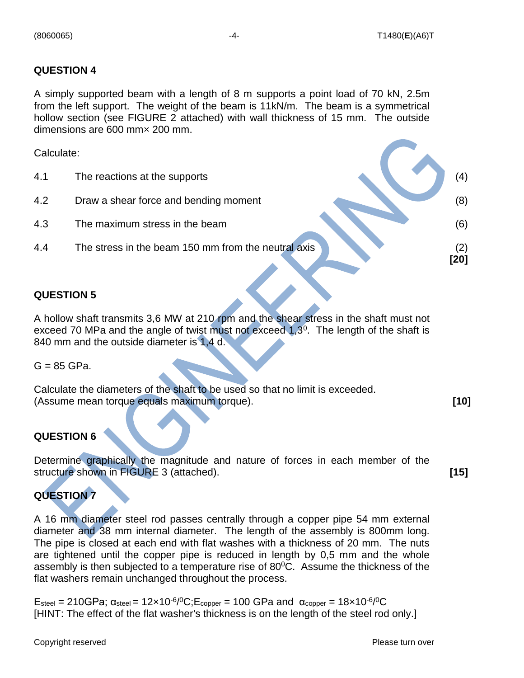#### **QUESTION 4**

A simply supported beam with a length of 8 m supports a point load of 70 kN, 2.5m from the left support. The weight of the beam is 11kN/m. The beam is a symmetrical hollow section (see FIGURE 2 attached) with wall thickness of 15 mm. The outside dimensions are 600 mm× 200 mm.

Calculate:

4.1 The reactions at the supports (4) (4) 4.2 Draw a shear force and bending moment (8) 4.3 The maximum stress in the beam (6) 4.4 The stress in the beam 150 mm from the neutral axis (2) **[20]**

#### **QUESTION 5**

A hollow shaft transmits 3,6 MW at 210 rpm and the shear stress in the shaft must not exceed 70 MPa and the angle of twist must not exceed  $1,3^0$ . The length of the shaft is 840 mm and the outside diameter is 1,4 d.

 $G = 85$  GPa.

Calculate the diameters of the shaft to be used so that no limit is exceeded. (Assume mean torque equals maximum torque). **[10]**

#### **QUESTION 6**

Determine graphically the magnitude and nature of forces in each member of the structure shown in FIGURE 3 (attached). **[15]**

#### **QUESTION 7**

A 16 mm diameter steel rod passes centrally through a copper pipe 54 mm external diameter and 38 mm internal diameter. The length of the assembly is 800mm long. The pipe is closed at each end with flat washes with a thickness of 20 mm. The nuts are tightened until the copper pipe is reduced in length by 0,5 mm and the whole assembly is then subjected to a temperature rise of  $80^{\circ}$ C. Assume the thickness of the flat washers remain unchanged throughout the process.

 $E_{\text{steel}} = 210 \text{GPa}$ ;  $\alpha_{\text{steel}} = 12 \times 10^{-6/0} \text{C}$ ;  $E_{\text{copper}} = 100 \text{GPa}$  and  $\alpha_{\text{copper}} = 18 \times 10^{-6/0} \text{C}$ [HINT: The effect of the flat washer's thickness is on the length of the steel rod only.]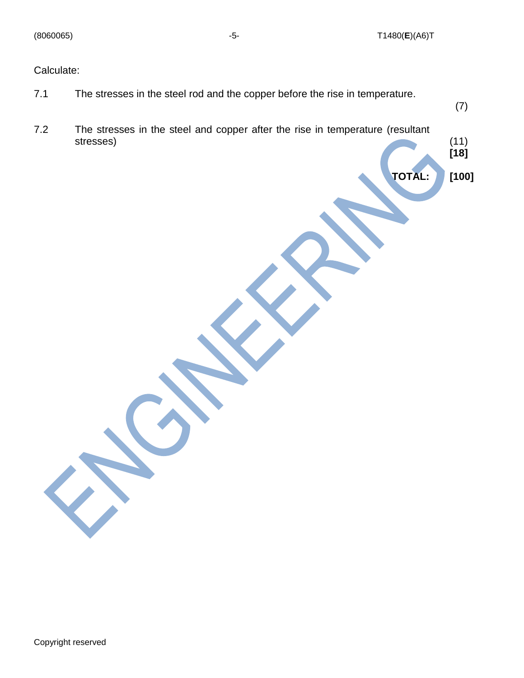(7)

**[18]**

**TOTAL: [100]**

Calculate:

- 7.1 The stresses in the steel rod and the copper before the rise in temperature.
- 7.2 The stresses in the steel and copper after the rise in temperature (resultant stresses)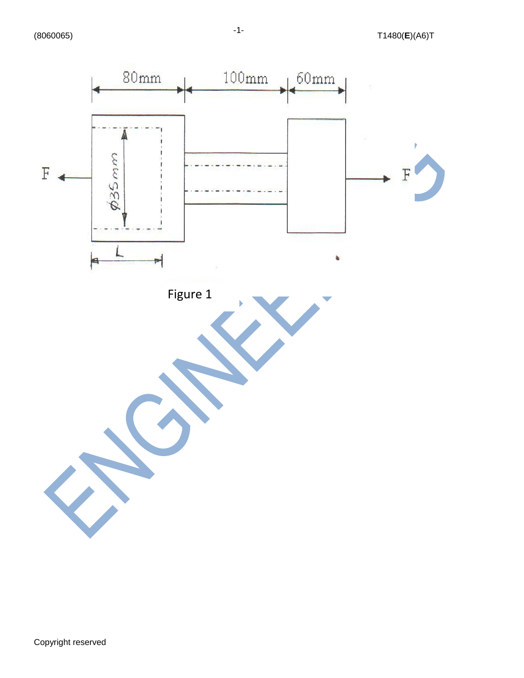

-1-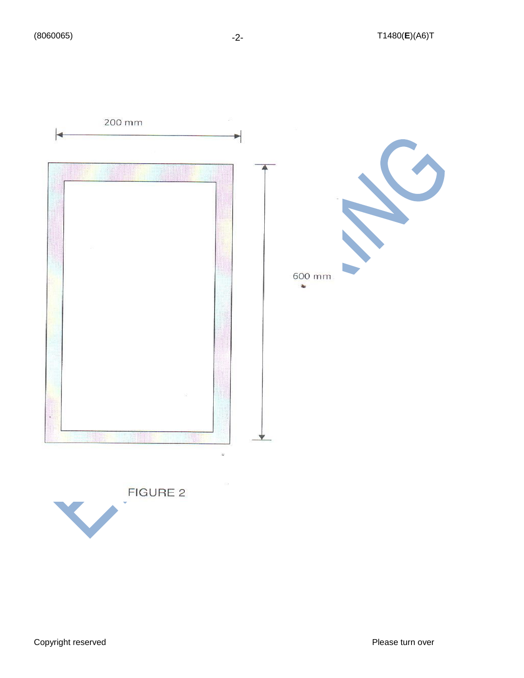



Copyright reserved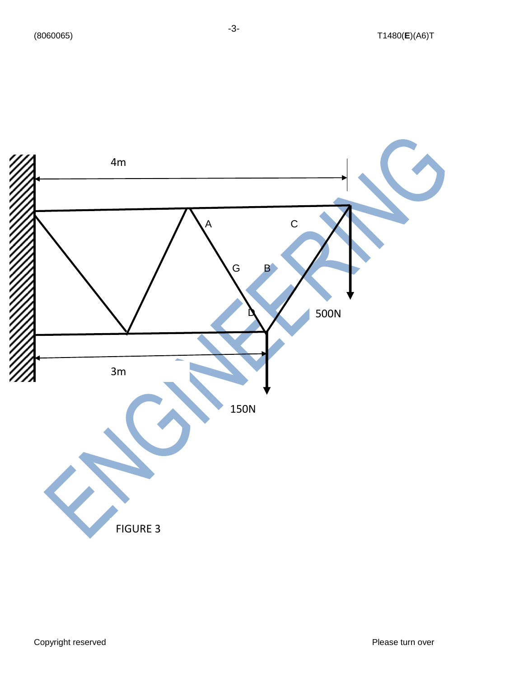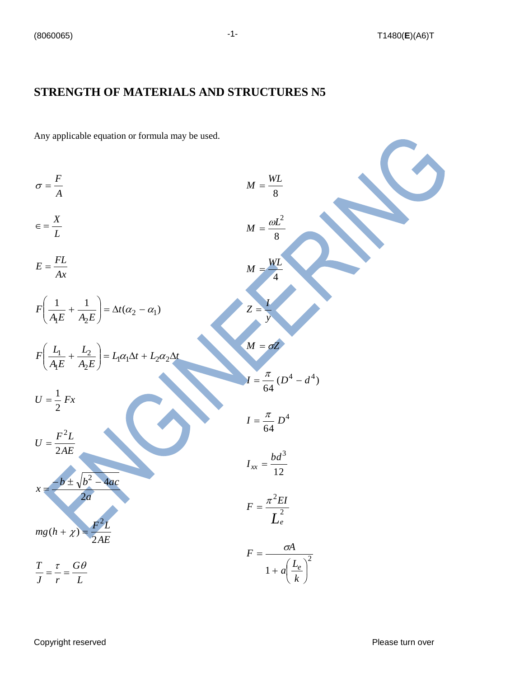#### **STRENGTH OF MATERIALS AND STRUCTURES N5**

Any applicable equation or formula may be used.

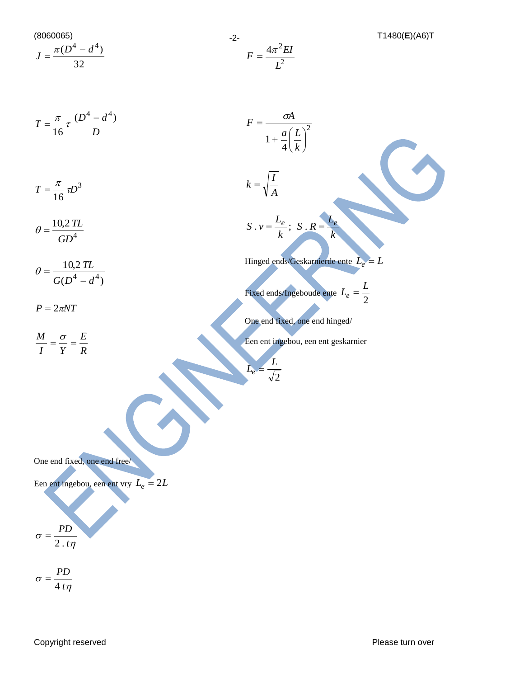(8060065) -2- T1480(**E**)(A6)T 32  $J = \frac{\pi (D^4 - d^4)}{D}$ *D*  $T = \frac{\pi}{l} \tau \frac{(D^4 - d^4)}{l}$ 16  $=\frac{\pi}{4} \tau \frac{(D^4-d^4)}{R}$ 3 16  $T = \frac{\pi}{l} \tau D$ 4 10,2 *GD*  $\theta = \frac{10,2 \, TL}{4}$  $(D^4 - d^4)$ 10,2  $G(D^4 - d^4)$ *TL* −  $\theta =$  $P = 2\pi NT$ *R E I Y*  $\frac{M}{\sigma} = \frac{\sigma}{\sigma} =$ 2  $4\pi^2$ *L*  $F = \frac{4\pi^2 EI}{r^2}$ 2 4  $1+\frac{u}{1}=\frac{u}{1}$ J  $\left(\frac{L}{t}\right)$ L  $+\frac{a}{a}$ = *k a L*  $F = \frac{\sigma A}{\sigma A}$ *A*  $k = \sqrt{\frac{I}{I}}$ *k L S R k L*  $S \cdot v = \frac{L_e}{i}$ ;  $S \cdot R = \frac{L_e}{i}$ Hinged ends/Geskarnierde ente *Le* = *L* Fixed ends/Ingeboude ente  $L_e = \frac{2}{2}$  $L_e = \frac{L}{2}$ One end fixed, one end hinged/ Een ent ingebou, een ent geskarnier 2 *L Le* = One end fixed, one end free/ Een ent ingebou, een ent vry  $L_e = 2L$  $\eta$  $\sigma = \frac{1}{2 \cdot t}$ *PD* 2 . = -2-

 $\eta$  $\sigma = \frac{1}{4t}$ *PD* 4 =